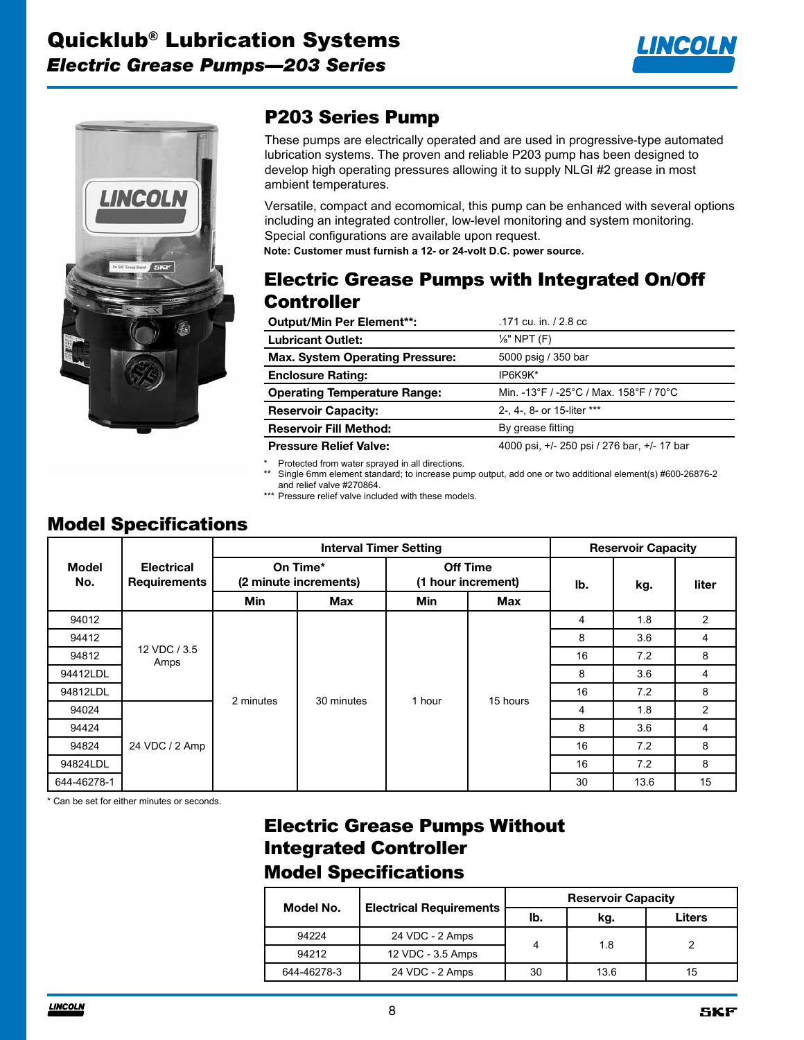



# P203 Series Pump

These pumps are electrically operated and are used in progressive-type automated lubrication systems. The proven and reliable P203 pump has been designed to develop high operating pressures allowing it to supply NLGI #2 grease in most ambient temperatures.

Versatile, compact and ecomomical, this pump can be enhanced with several options including an integrated controller, low-level monitoring and system monitoring. Special configurations are available upon request. **Note: Customer must furnish a 12- or 24-volt D.C. power source.**

#### Electric Grease Pumps with Integrated On/Off **Controller**

| <b>Output/Min Per Element**:</b>       | .171 cu. in. / 2.8 cc                       |
|----------------------------------------|---------------------------------------------|
| <b>Lubricant Outlet:</b>               | $\frac{1}{8}$ " NPT (F)                     |
| <b>Max. System Operating Pressure:</b> | 5000 psig / 350 bar                         |
| <b>Enclosure Rating:</b>               | IP6K9K*                                     |
| <b>Operating Temperature Range:</b>    | Min. -13°F / -25°C / Max. 158°F / 70°C      |
| <b>Reservoir Capacity:</b>             | 2-, 4-, 8- or 15-liter ***                  |
| <b>Reservoir Fill Method:</b>          | By grease fitting                           |
| <b>Pressure Relief Valve:</b>          | 4000 psi, +/- 250 psi / 276 bar, +/- 17 bar |

Protected from water sprayed in all directions.

\*\* Single 6mm element standard; to increase pump output, add one or two additional element(s) #600-26876-2 and relief valve #270864.

\*\*\* Pressure relief valve included with these models.

# Model Specifications

|                     |                                   | <b>Interval Timer Setting</b> |                                   |                                       | <b>Reservoir Capacity</b> |          |      |       |   |
|---------------------|-----------------------------------|-------------------------------|-----------------------------------|---------------------------------------|---------------------------|----------|------|-------|---|
| <b>Model</b><br>No. | <b>Electrical</b><br>Requirements |                               | On Time*<br>(2 minute increments) | <b>Off Time</b><br>(1 hour increment) |                           | lb.      | kg.  | liter |   |
|                     |                                   | <b>Min</b>                    | Max                               | Min                                   | <b>Max</b>                |          |      |       |   |
| 94012               |                                   |                               |                                   |                                       |                           | 4        | 1.8  | 2     |   |
| 94412               |                                   |                               |                                   |                                       |                           | 8        | 3.6  | 4     |   |
| 94812               |                                   | 12 VDC / 3.5<br>Amps          |                                   |                                       |                           | 16       | 7.2  | 8     |   |
| 94412LDL            |                                   |                               |                                   |                                       |                           | 8        | 3.6  | 4     |   |
| 94812LDL            |                                   |                               | 2 minutes                         | 30 minutes                            | 1 hour                    | 15 hours | 16   | 7.2   | 8 |
| 94024               |                                   |                               |                                   |                                       |                           | 4        | 1.8  | 2     |   |
| 94424               |                                   |                               |                                   |                                       |                           | 8        | 3.6  | 4     |   |
| 94824               | 24 VDC / 2 Amp                    |                               |                                   |                                       | 16                        | 7.2      | 8    |       |   |
| 94824LDL            |                                   |                               |                                   |                                       |                           | 16       | 7.2  | 8     |   |
| 644-46278-1         |                                   |                               |                                   |                                       |                           | 30       | 13.6 | 15    |   |

\* Can be set for either minutes or seconds.

### Electric Grease Pumps Without Integrated Controller Model Specifications

| Model No.   |                                | <b>Reservoir Capacity</b> |      |        |  |  |
|-------------|--------------------------------|---------------------------|------|--------|--|--|
|             | <b>Electrical Requirements</b> | lb.                       | kg.  | Liters |  |  |
| 94224       | 24 VDC - 2 Amps                | 4                         | 1.8  |        |  |  |
| 94212       | 12 VDC - 3.5 Amps              |                           |      |        |  |  |
| 644-46278-3 | 24 VDC - 2 Amps                | 30                        | 13.6 | 15     |  |  |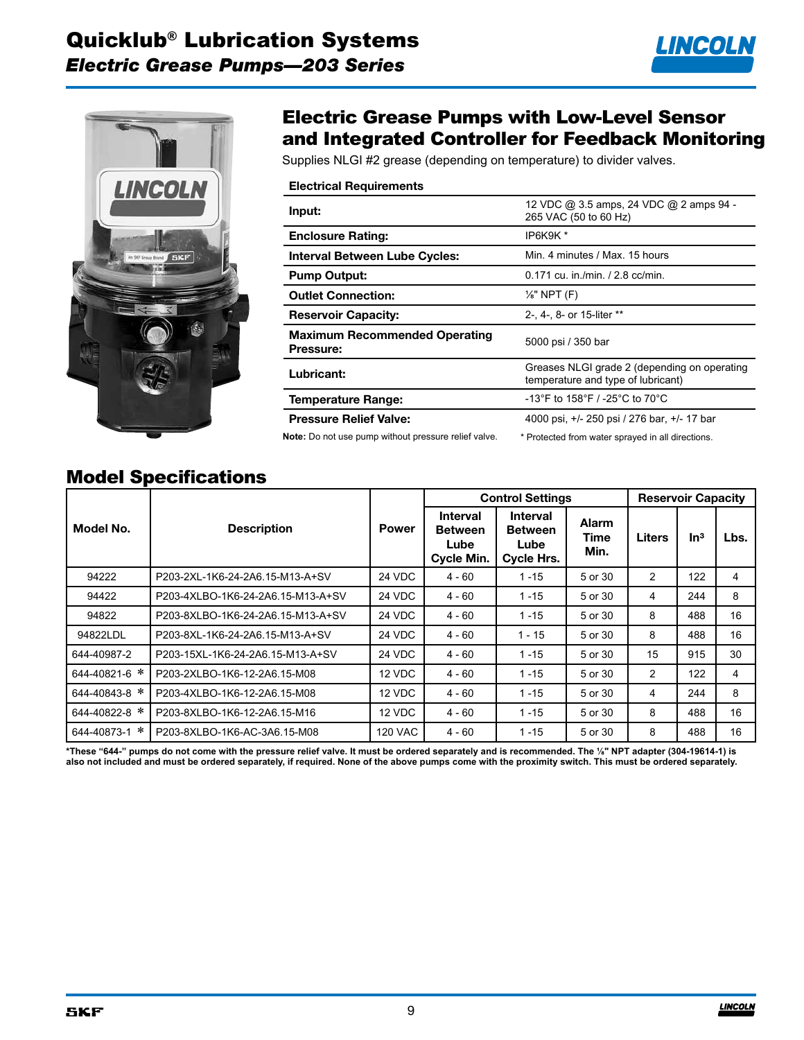



### Electric Grease Pumps with Low-Level Sensor and Integrated Controller for Feedback Monitoring

Supplies NLGI #2 grease (depending on temperature) to divider valves.

| <b>Electrical Requirements</b>                                                                   |                                                                  |
|--------------------------------------------------------------------------------------------------|------------------------------------------------------------------|
| Input:                                                                                           | 12 VDC @ 3.5 amps, 24 VDC @ 2 amps 94 -<br>265 VAC (50 to 60 Hz) |
| <b>Enclosure Rating:</b>                                                                         | IP6K9K*                                                          |
| <b>Interval Between Lube Cycles:</b>                                                             | Min. 4 minutes / Max. 15 hours                                   |
| <b>Pump Output:</b>                                                                              | $0.171$ cu. in./min. / 2.8 cc/min.                               |
| <b>Outlet Connection:</b>                                                                        | $\frac{1}{8}$ " NPT (F)                                          |
| <b>Reservoir Capacity:</b>                                                                       | 2-, 4-, 8- or 15-liter **                                        |
| <b>Maximum Recommended Operating</b><br>Pressure:                                                | 5000 psi / 350 bar                                               |
| Greases NLGI grade 2 (depending on operating<br>Lubricant:<br>temperature and type of lubricant) |                                                                  |
| Temperature Range:                                                                               | -13°F to 158°F / -25°C to 70°C                                   |
| <b>Pressure Relief Valve:</b>                                                                    | 4000 psi, +/- 250 psi / 276 bar, +/- 17 bar                      |
| Note: Do not use pump without pressure relief valve.                                             | * Protected from water sprayed in all directions.                |

#### Model Specifications

|               |                                   |              | <b>Control Settings</b>                                        |                                                         |                              | <b>Reservoir Capacity</b> |                 |      |
|---------------|-----------------------------------|--------------|----------------------------------------------------------------|---------------------------------------------------------|------------------------------|---------------------------|-----------------|------|
| Model No.     | <b>Description</b>                | <b>Power</b> | <b>Interval</b><br><b>Between</b><br>Lube<br><b>Cycle Min.</b> | <b>Interval</b><br><b>Between</b><br>Lube<br>Cycle Hrs. | <b>Alarm</b><br>Time<br>Min. | <b>Liters</b>             | ln <sup>3</sup> | Lbs. |
| 94222         | P203-2XL-1K6-24-2A6.15-M13-A+SV   | 24 VDC       | $4 - 60$                                                       | $1 - 15$                                                | 5 or 30                      | 2                         | 122             | 4    |
| 94422         | P203-4XLBO-1K6-24-2A6.15-M13-A+SV | 24 VDC       | $4 - 60$                                                       | $1 - 15$                                                | 5 or 30                      | 4                         | 244             | 8    |
| 94822         | P203-8XLBO-1K6-24-2A6.15-M13-A+SV | 24 VDC       | $4 - 60$                                                       | $1 - 15$                                                | 5 or 30                      | 8                         | 488             | 16   |
| 94822LDL      | P203-8XL-1K6-24-2A6.15-M13-A+SV   | 24 VDC       | $4 - 60$                                                       | $1 - 15$                                                | 5 or 30                      | 8                         | 488             | 16   |
| 644-40987-2   | P203-15XL-1K6-24-2A6.15-M13-A+SV  | 24 VDC       | $4 - 60$                                                       | $1 - 15$                                                | 5 or 30                      | 15                        | 915             | 30   |
| 644-40821-6 * | P203-2XLBO-1K6-12-2A6.15-M08      | 12 VDC       | $4 - 60$                                                       | $1 - 15$                                                | 5 or 30                      | 2                         | 122             | 4    |
| 644-40843-8 * | P203-4XLBO-1K6-12-2A6.15-M08      | 12 VDC       | $4 - 60$                                                       | $1 - 15$                                                | 5 or 30                      | 4                         | 244             | 8    |
| 644-40822-8 * | P203-8XLBO-1K6-12-2A6.15-M16      | 12 VDC       | $4 - 60$                                                       | $1 - 15$                                                | 5 or 30                      | 8                         | 488             | 16   |
| 644-40873-1 * | P203-8XLBO-1K6-AC-3A6.15-M08      | 120 VAC      | $4 - 60$                                                       | $1 - 15$                                                | 5 or 30                      | 8                         | 488             | 16   |

**\*These "644-" pumps do not come with the pressure relief valve. It must be ordered separately and is recommended. The ⅛" NPT adapter (304-19614-1) is also not included and must be ordered separately, if required. None of the above pumps come with the proximity switch. This must be ordered separately.**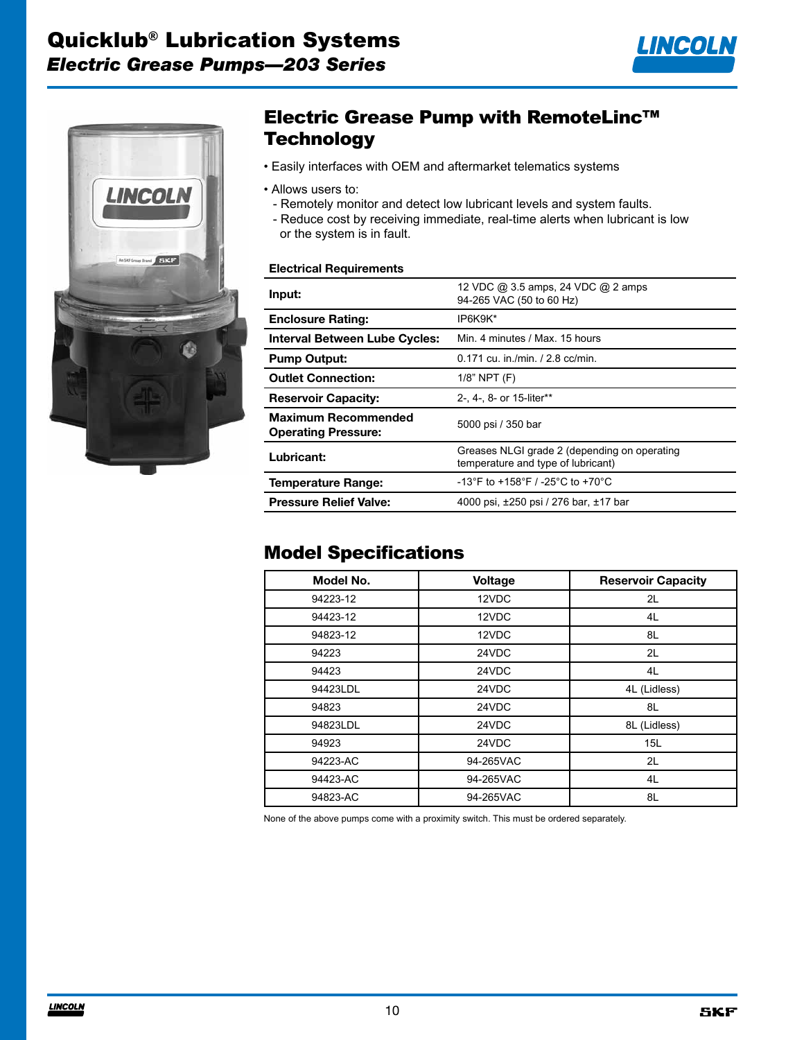



# Electric Grease Pump with RemoteLinc™ **Technology**

- Easily interfaces with OEM and aftermarket telematics systems
- Allows users to:
	- Remotely monitor and detect low lubricant levels and system faults.
	- Reduce cost by receiving immediate, real-time alerts when lubricant is low or the system is in fault.

#### **Electrical Requirements**

| Input:                                                   | 12 VDC @ 3.5 amps, 24 VDC @ 2 amps<br>94-265 VAC (50 to 60 Hz)                     |
|----------------------------------------------------------|------------------------------------------------------------------------------------|
| <b>Enclosure Rating:</b>                                 | IP6K9K*                                                                            |
| <b>Interval Between Lube Cycles:</b>                     | Min. 4 minutes / Max. 15 hours                                                     |
| <b>Pump Output:</b>                                      | $0.171$ cu. in /min. / 2.8 cc/min.                                                 |
| <b>Outlet Connection:</b>                                | $1/8$ " NPT $(F)$                                                                  |
| <b>Reservoir Capacity:</b>                               | 2-, 4-, 8- or 15-liter**                                                           |
| <b>Maximum Recommended</b><br><b>Operating Pressure:</b> | 5000 psi / 350 bar                                                                 |
| Lubricant:                                               | Greases NLGI grade 2 (depending on operating<br>temperature and type of lubricant) |
| <b>Temperature Range:</b>                                | -13°F to +158°F / -25°C to +70°C                                                   |
| <b>Pressure Relief Valve:</b>                            | 4000 psi, ±250 psi / 276 bar, ±17 bar                                              |

#### Model Specifications

| Model No. | <b>Voltage</b> | <b>Reservoir Capacity</b> |
|-----------|----------------|---------------------------|
| 94223-12  | 12VDC          | 2L                        |
| 94423-12  | 12VDC          | 4L                        |
| 94823-12  | 12VDC          | 8L                        |
| 94223     | 24VDC          | 2L                        |
| 94423     | 24VDC          | 4L                        |
| 94423LDL  | 24VDC          | 4L (Lidless)              |
| 94823     | 24VDC          | 8L                        |
| 94823LDL  | 24VDC          | 8L (Lidless)              |
| 94923     | 24VDC          | 15L                       |
| 94223-AC  | 94-265VAC      | 2L                        |
| 94423-AC  | 94-265VAC      | 4L                        |
| 94823-AC  | 94-265VAC      | 8L                        |

None of the above pumps come with a proximity switch. This must be ordered separately.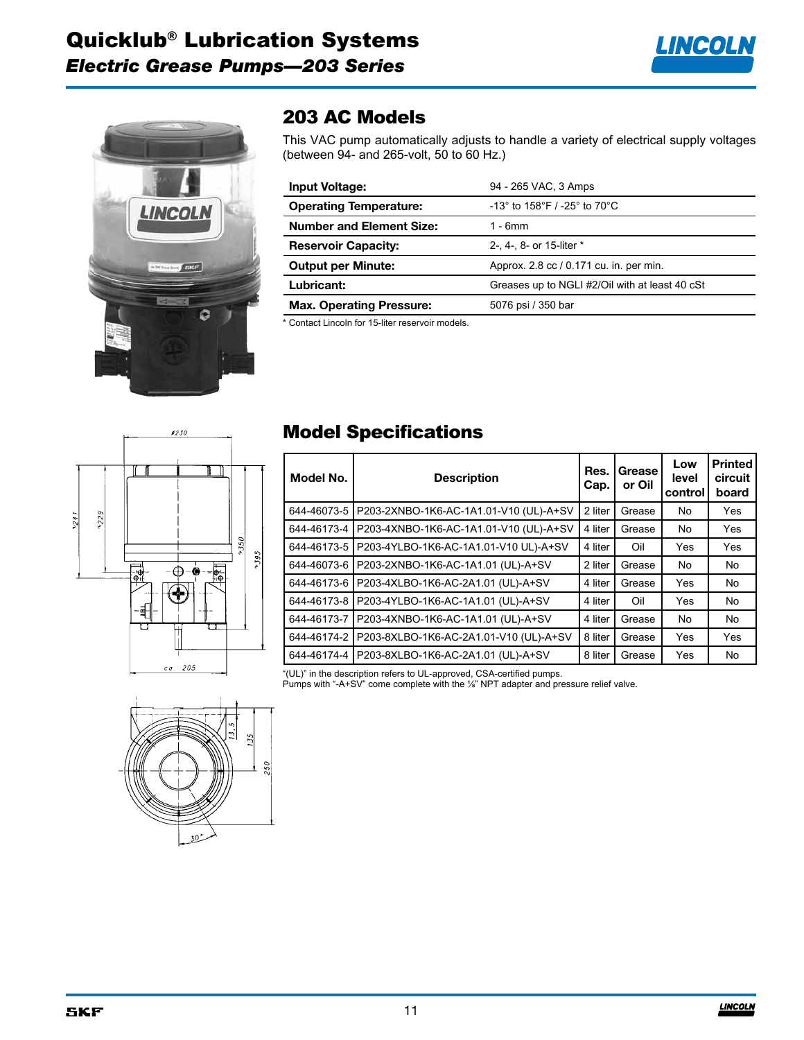



## 203 AC Models

This VAC pump automatically adjusts to handle a variety of electrical supply voltages (between 94- and 265-volt, 50 to 60 Hz.)

| <b>Input Voltage:</b>           | 94 - 265 VAC, 3 Amps                                                  |
|---------------------------------|-----------------------------------------------------------------------|
| <b>Operating Temperature:</b>   | $-13^{\circ}$ to 158 $^{\circ}$ F / -25 $^{\circ}$ to 70 $^{\circ}$ C |
| <b>Number and Element Size:</b> | $1 - 6$ mm                                                            |
| <b>Reservoir Capacity:</b>      | 2-, 4-, 8- or 15-liter *                                              |
| <b>Output per Minute:</b>       | Approx. 2.8 cc / 0.171 cu. in. per min.                               |
| Lubricant:                      | Greases up to NGLI #2/Oil with at least 40 cSt                        |
| <b>Max. Operating Pressure:</b> | 5076 psi / 350 bar                                                    |

\* Contact Lincoln for 15-liter reservoir models.



# Model Specifications

| Model No.   | Res.<br><b>Description</b><br>Cap.     |         | Grease<br>or Oil | Low<br>level<br>control | <b>Printed</b><br>circuit<br>board |
|-------------|----------------------------------------|---------|------------------|-------------------------|------------------------------------|
| 644-46073-5 | P203-2XNBO-1K6-AC-1A1.01-V10 (UL)-A+SV | 2 liter | Grease           | No                      | Yes                                |
| 644-46173-4 | P203-4XNBO-1K6-AC-1A1.01-V10 (UL)-A+SV | 4 liter | Grease           | No                      | Yes                                |
| 644-46173-5 | P203-4YLBO-1K6-AC-1A1.01-V10 UL)-A+SV  | 4 liter | Oil              | Yes                     | Yes                                |
| 644-46073-6 | P203-2XNBO-1K6-AC-1A1.01 (UL)-A+SV     | 2 liter | Grease           | No                      | No                                 |
| 644-46173-6 | P203-4XLBO-1K6-AC-2A1.01 (UL)-A+SV     | 4 liter | Grease           | Yes                     | No                                 |
| 644-46173-8 | P203-4YLBO-1K6-AC-1A1.01 (UL)-A+SV     | 4 liter | Oil              | Yes                     | No                                 |
| 644-46173-7 | P203-4XNBO-1K6-AC-1A1.01 (UL)-A+SV     | 4 liter | Grease           | No                      | No                                 |
| 644-46174-2 | P203-8XLBO-1K6-AC-2A1.01-V10 (UL)-A+SV | 8 liter | Grease           | Yes                     | Yes                                |
| 644-46174-4 | P203-8XLBO-1K6-AC-2A1.01 (UL)-A+SV     | 8 liter | Grease           | Yes                     | No                                 |
|             |                                        |         |                  |                         |                                    |

"(UL)" in the description refers to UL-approved, CSA-certified pumps.

Pumps with "-A+SV" come complete with the ⅛" NPT adapter and pressure relief valve.